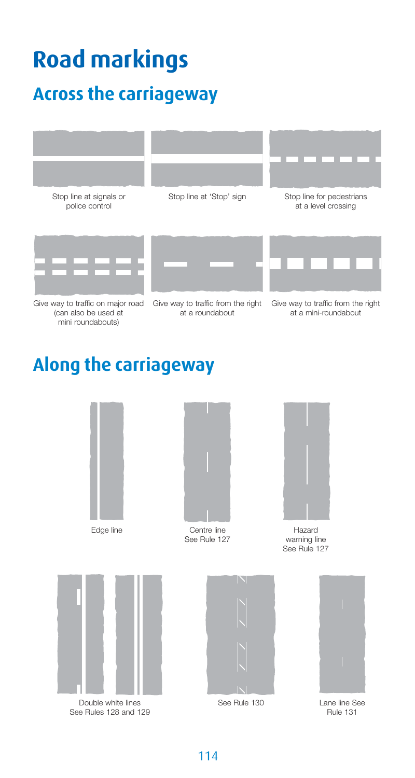# **Road markings**

# **Across the carriageway**





(can also be used at mini roundabouts)



Give way to traffic on major road Give way to traffic from the right Give way to traffic from the right at a roundabout



at a mini-roundabout

### **Along the carriageway**



Edge line



Centre line See Rule 127



Hazard warning line See Rule 127



Double white lines See Rules 128 and 129



See Rule 130



Lane line See Rule 131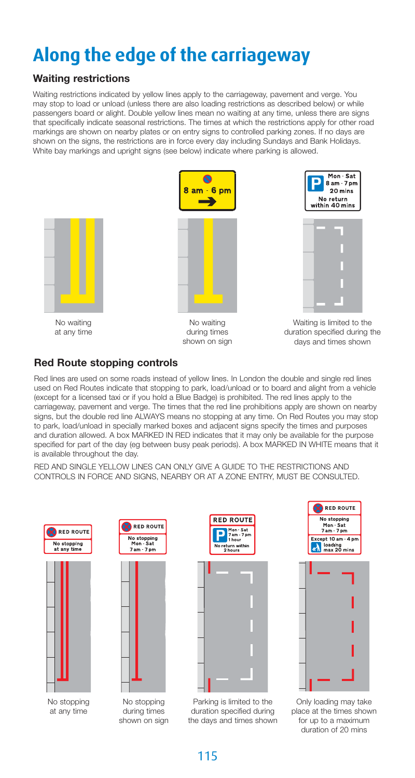# **Along the edge of the carriageway**

#### **Waiting restrictions**

Waiting restrictions indicated by yellow lines apply to the carriageway, pavement and verge. You may stop to load or unload (unless there are also loading restrictions as described below) or while passengers board or alight. Double yellow lines mean no waiting at any time, unless there are signs that specifically indicate seasonal restrictions. The times at which the restrictions apply for other road markings are shown on nearby plates or on entry signs to controlled parking zones. If no days are shown on the signs, the restrictions are in force every day including Sundays and Bank Holidays. White bay markings and upright signs (see below) indicate where parking is allowed.



#### **Red Route stopping controls**

Red lines are used on some roads instead of yellow lines. In London the double and single red lines used on Red Routes indicate that stopping to park, load/unload or to board and alight from a vehicle (except for a licensed taxi or if you hold a Blue Badge) is prohibited. The red lines apply to the carriageway, pavement and verge. The times that the red line prohibitions apply are shown on nearby signs, but the double red line ALWAYS means no stopping at any time. On Red Routes you may stop to park, load/unload in specially marked boxes and adjacent signs specify the times and purposes and duration allowed. A box MARKED IN RED indicates that it may only be available for the purpose specified for part of the day (eg between busy peak periods). A box MARKED IN WHITE means that it is available throughout the day.

RED AND SINGLE YELLOW LINES CAN ONLY GIVE A GUIDE TO THE RESTRICTIONS AND CONTROLS IN FORCE AND SIGNS, NEARBY OR AT A ZONE ENTRY, MUST BE CONSULTED.



at any time



No stopping during times shown on sign



Parking is limited to the duration specified during the days and times shown



Only loading may take place at the times shown for up to a maximum duration of 20 mins